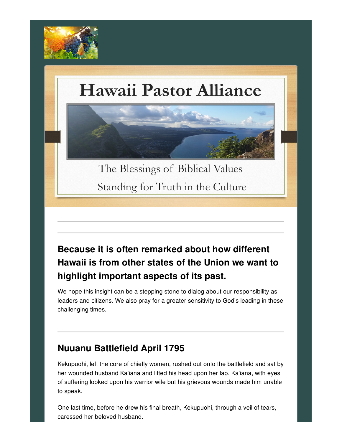

# **Hawaii Pastor Alliance**



Standing for Truth in the Culture

### **Because it is often remarked about how different Hawaii is from other states of the Union we want to highlight important aspects of its past.**

We hope this insight can be a stepping stone to dialog about our responsibility as leaders and citizens. We also pray for a greater sensitivity to God's leading in these challenging times.

#### **Nuuanu Battlefield April 1795**

Kekupuohi, left the core of chiefly women, rushed out onto the battlefield and sat by her wounded husband Ka'iana and lifted his head upon her lap. Ka'iana, with eyes of suffering looked upon his warrior wife but his grievous wounds made him unable to speak.

One last time, before he drew his final breath, Kekupuohi, through a veil of tears, caressed her beloved husband.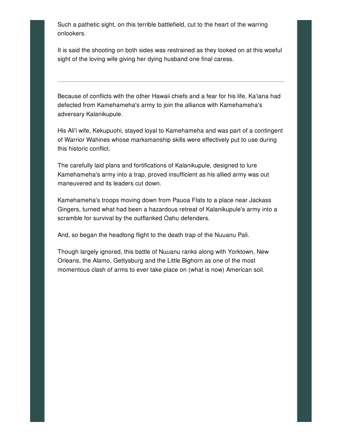Such a pathetic sight, on this terrible battlefield, cut to the heart of the warring onlookers.

It is said the shooting on both sides was restrained as they looked on at this woeful sight of the loving wife giving her dying husband one final caress.

Because of conflicts with the other Hawaii chiefs and a fear for his life, Ka'iana had defected from Kamehameha's army to join the alliance with Kamehameha's adversary Kalanikupule.

His Ali'i wife, Kekupuohi, stayed loyal to Kamehameha and was part of a contingent of Warrior Wahines whose marksmanship skills were effectively put to use during this historic conflict.

The carefully laid plans and fortifications of Kalanikupule, designed to lure Kamehameha's army into a trap, proved insufficient as his allied army was out maneuvered and its leaders cut down.

Kamehameha's troops moving down from Pauoa Flats to a place near Jackass Gingers, turned what had been a hazardous retreat of Kalanikupule's army into a scramble for survival by the outflanked Oahu defenders.

And, so began the headlong flight to the death trap of the Nuuanu Pali.

Though largely ignored, this battle of Nuuanu ranks along with Yorktown, New Orleans, the Alamo, Gettysburg and the Little Bighorn as one of the most momentous clash of arms to ever take place on (what is now) American soil.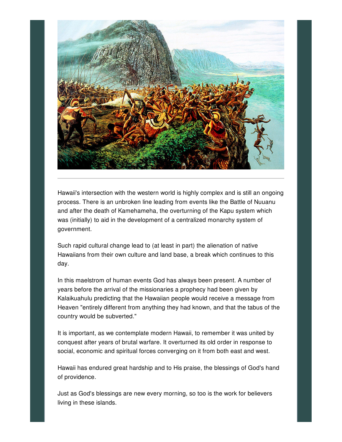

Hawaii's intersection with the western world is highly complex and is still an ongoing process. There is an unbroken line leading from events like the Battle of Nuuanu and after the death of Kamehameha, the overturning of the Kapu system which was (initially) to aid in the development of a centralized monarchy system of government.

Such rapid cultural change lead to (at least in part) the alienation of native Hawaiians from their own culture and land base, a break which continues to this day.

In this maelstrom of human events God has always been present. A number of years before the arrival of the missionaries a prophecy had been given by Kalaikuahulu predicting that the Hawaiian people would receive a message from Heaven "entirely different from anything they had known, and that the tabus of the country would be subverted."

It is important, as we contemplate modern Hawaii, to remember it was united by conquest after years of brutal warfare. It overturned its old order in response to social, economic and spiritual forces converging on it from both east and west.

Hawaii has endured great hardship and to His praise, the blessings of God's hand of providence.

Just as God's blessings are new every morning, so too is the work for believers living in these islands.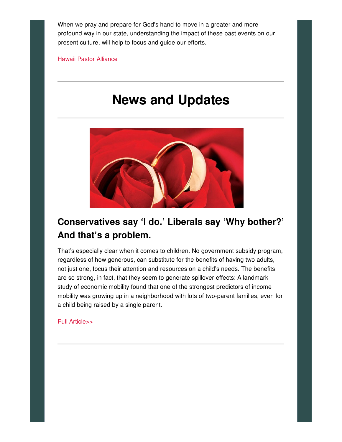When we pray and prepare for God's hand to move in a greater and more profound way in our state, understanding the impact of these past events on our present culture, will help to focus and guide our efforts.

Hawaii Pastor [Alliance](http://hawaiipastoralliance.us/)

## **News and Updates**



#### **Conservatives say 'I do.' Liberals say 'Why bother?' And that's a problem.**

That's especially clear when it comes to children. No government subsidy program, regardless of how generous, can substitute for the benefits of having two adults, not just one, focus their attention and resources on a child's needs. The benefits are so strong, in fact, that they seem to generate spillover effects: A landmark study of economic mobility found that one of the strongest predictors of income mobility was growing up in a neighborhood with lots of two-parent families, even for a child being raised by a single parent.

#### Full [Article>>](https://www.washingtonpost.com/opinions/2019/10/11/conservatives-say-i-do-liberals-say-why-bother-thats-problem/?fbclid=IwAR0JhAzerffO9swFtOHqGaVjNrm_slm-fLNTSeZs7L5hy7nK616igJAdhGw#click=https://t.co/XHqAyQWISU)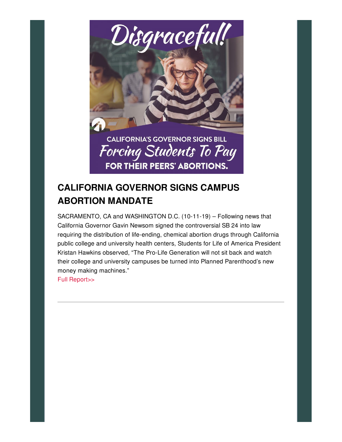

#### **CALIFORNIA GOVERNOR SIGNS CAMPUS ABORTION MANDATE**

SACRAMENTO, CA and WASHINGTON D.C. (10-11-19) – Following news that California Governor Gavin Newsom signed the controversial SB 24 into law requiring the distribution of life-ending, chemical abortion drugs through California public college and university health centers, Students for Life of America President Kristan Hawkins observed, "The Pro-Life Generation will not sit back and watch their college and university campuses be turned into Planned Parenthood's new money making machines."

Full [Report>>](https://studentsforlife.org/2019/10/11/breaking-california-governor-signs-campus-abortion-mandate/?fbclid=IwAR3Xot0vh0bhR1I_cavfFBi-cXCHRwrBBxTl10BzZALcOlr0-NaZvMsZmfE)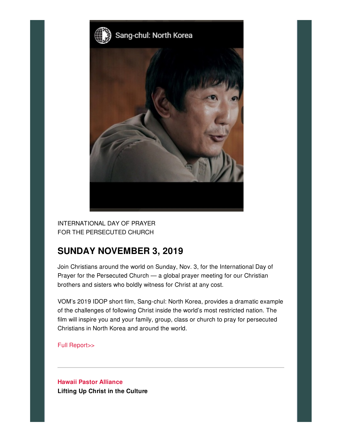

INTERNATIONAL DAY OF PRAYER FOR THE PERSECUTED CHURCH

#### **SUNDAY NOVEMBER 3, 2019**

Join Christians around the world on Sunday, Nov. 3, for the International Day of Prayer for the Persecuted Church — a global prayer meeting for our Christian brothers and sisters who boldly witness for Christ at any cost.

VOM's 2019 IDOP short film, Sang-chul: North Korea, provides a dramatic example of the challenges of following Christ inside the world's most restricted nation. The film will inspire you and your family, group, class or church to pray for persecuted Christians in North Korea and around the world.

Full [Report>>](https://www.persecution.com/IDOP)

**Hawaii Pastor [Alliance](http://hawaiipastoralliance.us/) Lifting Up Christ in the Culture**